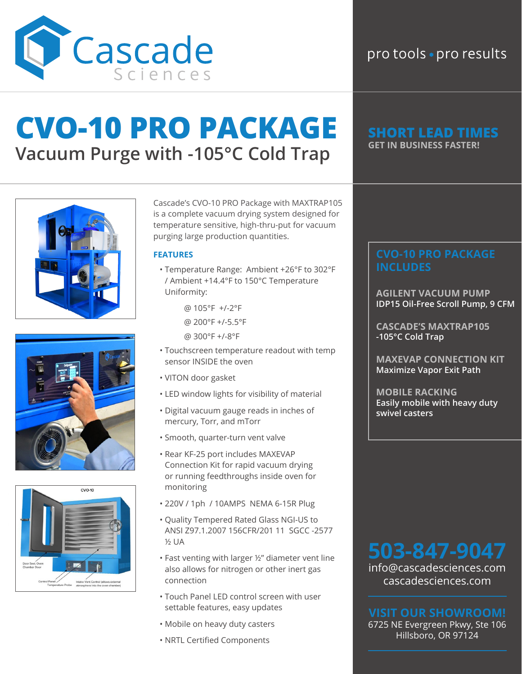

### pro tools · pro results

## **CVO-10 PRO PACKAGE Vacuum Purge with -105°C Cold Trap**







Cascade's CVO-10 PRO Package with MAXTRAP105 is a complete vacuum drying system designed for temperature sensitive, high-thru-put for vacuum purging large production quantities.

### **FEATURES**

- Temperature Range: Ambient +26°F to 302°F / Ambient +14.4°F to 150°C Temperature Uniformity:
	- @ 105°F +/-2°F
	- @ 200°F +/-5.5°F
	- @ 300°F +/-8°F
- Touchscreen temperature readout with temp sensor INSIDE the oven
- VITON door gasket
- LED window lights for visibility of material
- Digital vacuum gauge reads in inches of mercury, Torr, and mTorr
- Smooth, quarter-turn vent valve
- Rear KF-25 port includes MAXEVAP Connection Kit for rapid vacuum drying or running feedthroughs inside oven for monitoring
- 220V / 1ph / 10AMPS NEMA 6-15R Plug
- Quality Tempered Rated Glass NGI-US to ANSI Z97.1.2007 156CFR/201 11 SGCC -2577 ½ UA
- Fast venting with larger ½" diameter vent line also allows for nitrogen or other inert gas connection
- Touch Panel LED control screen with user settable features, easy updates
- Mobile on heavy duty casters
- NRTL Certified Components

## **GET IN BUSINESS FASTER!**

**AGILENT VACUUM PUMP IDP15 Oil-Free Scroll Pump, 9 CFM**

**CASCADE'S MAXTRAP105 -105°C Cold Trap**

**MAXEVAP CONNECTION KIT Maximize Vapor Exit Path**

**MOBILE RACKING Easily mobile with heavy duty swivel casters**

info@cascadesciences.com cascadesciences.com

6725 NE Evergreen Pkwy, Ste 106 Hillsboro, OR 97124